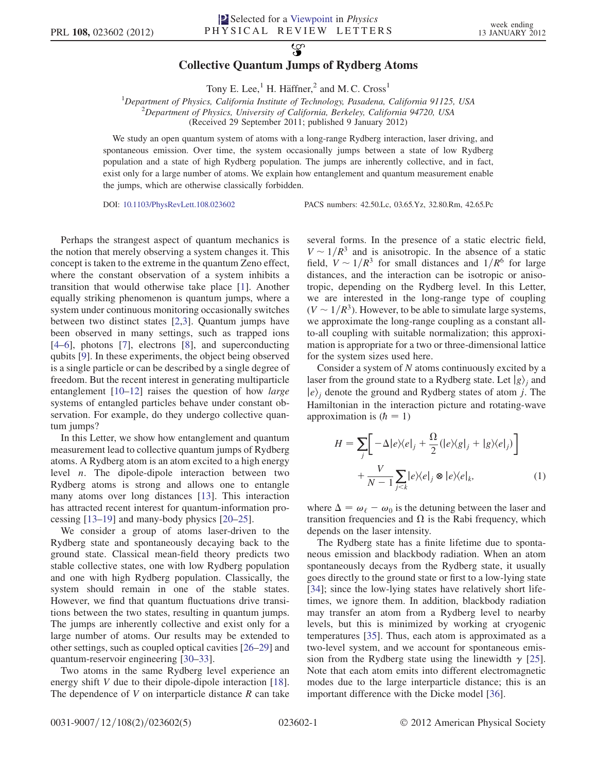## $\mathcal{L}$ Collective Quantum Jumps of Rydberg Atoms

Tony E. Lee,<sup>1</sup> H. Häffner,<sup>2</sup> and M. C. Cross<sup>1</sup>

<sup>1</sup>Department of Physics, California Institute of Technology, Pasadena, California 91125, USA<br><sup>2</sup>Department of Physics, University of California, Barkelay, California 94720, USA  $^{2}$ Department of Physics, University of California, Berkeley, California 94720, USA (Received 29 September 2011; published 9 January 2012)

We study an open quantum system of atoms with a long-range Rydberg interaction, laser driving, and spontaneous emission. Over time, the system occasionally jumps between a state of low Rydberg population and a state of high Rydberg population. The jumps are inherently collective, and in fact, exist only for a large number of atoms. We explain how entanglement and quantum measurement enable the jumps, which are otherwise classically forbidden.

DOI: [10.1103/PhysRevLett.108.023602](http://dx.doi.org/10.1103/PhysRevLett.108.023602) PACS numbers: 42.50.Lc, 03.65.Yz, 32.80.Rm, 42.65.Pc

Perhaps the strangest aspect of quantum mechanics is the notion that merely observing a system changes it. This concept is taken to the extreme in the quantum Zeno effect, where the constant observation of a system inhibits a transition that would otherwise take place [[1\]](#page-3-0). Another equally striking phenomenon is quantum jumps, where a system under continuous monitoring occasionally switches between two distinct states [\[2,](#page-3-1)[3](#page-3-2)]. Quantum jumps have been observed in many settings, such as trapped ions [\[4–](#page-3-3)[6](#page-3-4)], photons [\[7\]](#page-3-5), electrons [[8\]](#page-3-6), and superconducting qubits [[9\]](#page-3-7). In these experiments, the object being observed is a single particle or can be described by a single degree of freedom. But the recent interest in generating multiparticle entanglement [\[10–](#page-3-8)[12](#page-3-9)] raises the question of how large systems of entangled particles behave under constant observation. For example, do they undergo collective quantum jumps?

In this Letter, we show how entanglement and quantum measurement lead to collective quantum jumps of Rydberg atoms. A Rydberg atom is an atom excited to a high energy level  $n$ . The dipole-dipole interaction between two Rydberg atoms is strong and allows one to entangle many atoms over long distances [\[13\]](#page-3-10). This interaction has attracted recent interest for quantum-information processing [\[13–](#page-3-10)[19](#page-4-0)] and many-body physics [[20](#page-4-1)[–25\]](#page-4-2).

We consider a group of atoms laser-driven to the Rydberg state and spontaneously decaying back to the ground state. Classical mean-field theory predicts two stable collective states, one with low Rydberg population and one with high Rydberg population. Classically, the system should remain in one of the stable states. However, we find that quantum fluctuations drive transitions between the two states, resulting in quantum jumps. The jumps are inherently collective and exist only for a large number of atoms. Our results may be extended to other settings, such as coupled optical cavities [[26](#page-4-3)–[29](#page-4-4)] and quantum-reservoir engineering [\[30–](#page-4-5)[33](#page-4-6)].

Two atoms in the same Rydberg level experience an energy shift V due to their dipole-dipole interaction [\[18\]](#page-4-7). The dependence of  $V$  on interparticle distance  $R$  can take several forms. In the presence of a static electric field,  $V \sim 1/R^3$  and is anisotropic. In the absence of a static field,  $V \sim 1/R^3$  for small distances and  $1/R^6$  for large distances, and the interaction can be isotropic or anisotropic, depending on the Rydberg level. In this Letter, we are interested in the long-range type of coupling  $(V \sim 1/R<sup>3</sup>)$ . However, to be able to simulate large systems, we approximate the long-range coupling as a constant allto-all coupling with suitable normalization; this approximation is appropriate for a two or three-dimensional lattice for the system sizes used here.

Consider a system of N atoms continuously excited by a laser from the ground state to a Rydberg state. Let  $|g\rangle$  and  $|e\rangle$  denote the ground and Rydberg states of atom j. The Hamiltonian in the interaction picture and rotating-wave approximation is  $(h = 1)$ 

<span id="page-0-0"></span>
$$
H = \sum_{j} \left[ -\Delta |e\rangle\langle e|_{j} + \frac{\Omega}{2} (|e\rangle\langle g|_{j} + |g\rangle\langle e|_{j}) \right] + \frac{V}{N-1} \sum_{j < k} |e\rangle\langle e|_{j} \otimes |e\rangle\langle e|_{k}, \tag{1}
$$

where  $\Delta = \omega_{\ell} - \omega_0$  is the detuning between the laser and<br>transition frequencies and O is the Rabi frequency which transition frequencies and  $\Omega$  is the Rabi frequency, which depends on the laser intensity.

The Rydberg state has a finite lifetime due to spontaneous emission and blackbody radiation. When an atom spontaneously decays from the Rydberg state, it usually goes directly to the ground state or first to a low-lying state [\[34\]](#page-4-8); since the low-lying states have relatively short lifetimes, we ignore them. In addition, blackbody radiation may transfer an atom from a Rydberg level to nearby levels, but this is minimized by working at cryogenic temperatures [\[35\]](#page-4-9). Thus, each atom is approximated as a two-level system, and we account for spontaneous emission from the Rydberg state using the linewidth  $\gamma$  [[25\]](#page-4-2). Note that each atom emits into different electromagnetic modes due to the large interparticle distance; this is an important difference with the Dicke model [\[36\]](#page-4-10).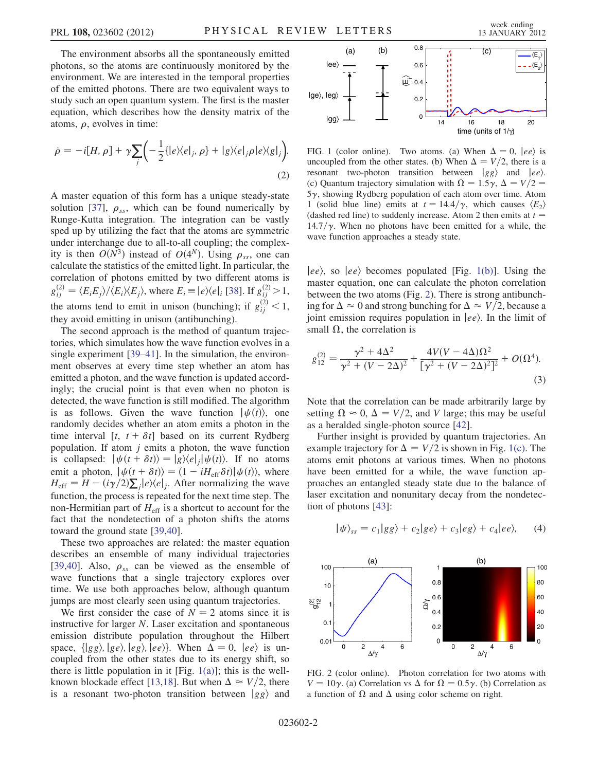The environment absorbs all the spontaneously emitted photons, so the atoms are continuously monitored by the environment. We are interested in the temporal properties of the emitted photons. There are two equivalent ways to study such an open quantum system. The first is the master equation, which describes how the density matrix of the atoms,  $\rho$ , evolves in time:

$$
\dot{\rho} = -i[H, \rho] + \gamma \sum_{j} \left( -\frac{1}{2} \{ |e \rangle \langle e|_{j}, \rho \} + |g \rangle \langle e|_{j} \rho |e \rangle \langle g|_{j} \right).
$$
\n(2)

A master equation of this form has a unique steady-state solution [\[37\]](#page-4-11),  $\rho_{ss}$ , which can be found numerically by<br>Runge-Kutta integration. The integration can be vastly Runge-Kutta integration. The integration can be vastly sped up by utilizing the fact that the atoms are symmetric under interchange due to all-to-all coupling; the complexity is then  $O(N^3)$  instead of  $O(4^N)$ . Using  $\rho_{ss}$ , one can calculate the statistics of the emitted light. In particular, the calculate the statistics of the emitted light. In particular, the correlation of photons emitted by two different atoms is  $g_{ij}^{(2)} = \langle E_i E_j \rangle / \langle E_i \rangle \langle E_j \rangle$ , where  $E_i \equiv |e \rangle \langle e|_i$  [[38](#page-4-12)]. If  $g_{ij}^{(2)} > 1$ , the atoms tend to emit in unison (bunching); if  $g_{ij}^{(2)} < 1$ ,<br>they evoid emitting in unison (ortibunching) they avoid emitting in unison (antibunching).

The second approach is the method of quantum trajectories, which simulates how the wave function evolves in a single experiment [[39](#page-4-13)[–41\]](#page-4-14). In the simulation, the environment observes at every time step whether an atom has emitted a photon, and the wave function is updated accordingly; the crucial point is that even when no photon is detected, the wave function is still modified. The algorithm is as follows. Given the wave function  $|\psi(t)\rangle$ , one randomly decides whether an atom emits a photon in the time interval [t,  $t + \delta t$ ] based on its current Rydberg population. If atom  $j$  emits a photon, the wave function is collapsed:  $|\psi(t + \delta t)\rangle = |g\rangle\langle e|_i |\psi(t)\rangle$ . If no atoms emit a photon,  $|\psi(t + \delta t)\rangle = (1 - iH_{\text{eff}}\delta t)|\psi(t)\rangle$ , where<br>  $H_{\infty} = H - (i\gamma/2)\sum_{n} |\psi(t)|$ . After normalizing the wave  $H_{\text{eff}} = H - (i\gamma/2) \sum_j |e\rangle\langle e|_j$ . After normalizing the wave function, the process is repeated for the next time step. The non-Hermitian part of  $H_{\text{eff}}$  is a shortcut to account for the fact that the nondetection of a photon shifts the atoms toward the ground state [\[39](#page-4-13)[,40\]](#page-4-15).

These two approaches are related: the master equation describes an ensemble of many individual trajectories [\[39](#page-4-13)[,40\]](#page-4-15). Also,  $\rho_{ss}$  can be viewed as the ensemble of wave functions that a single trajectory explores over wave functions that a single trajectory explores over time. We use both approaches below, although quantum jumps are most clearly seen using quantum trajectories.

We first consider the case of  $N = 2$  atoms since it is instructive for larger N. Laser excitation and spontaneous emission distribute population throughout the Hilbert space,  $\{ |gg\rangle, |ge\rangle, |eg\rangle, |ee\rangle\}$ . When  $\Delta = 0$ ,  $|ee\rangle$  is uncoupled from the other states due to its energy shift, so there is little population in it [Fig.  $1(a)$ ]; this is the well-known blockade effect [\[13,](#page-3-10)[18\]](#page-4-7). But when  $\Delta \approx V/2$ , there is a resonant two-photon transition between  $|gg\rangle$  and



<span id="page-1-0"></span>FIG. 1 (color online). Two atoms. (a) When  $\Delta = 0$ ,  $|ee\rangle$  is uncoupled from the other states. (b) When  $\Delta = V/2$ , there is a resonant two-photon transition between  $|gg\rangle$  and  $|ee\rangle$ . (c) Quantum trajectory simulation with  $\Omega = 1.5\gamma$ ,  $\Delta = V/2 = 5\gamma$  showing Rydberg population of each atom over time. Atom  $5\gamma$ , showing Rydberg population of each atom over time. Atom 1 (solid blue line) emits at  $t = 14.4/\gamma$ , which causes  $\langle E_2 \rangle$ (dashed red line) to suddenly increase. Atom 2 then emits at  $t =$ 14.7/ $\gamma$ . When no photons have been emitted for a while, the wave function approaches a steady state.

 $|ee\rangle$ , so  $|ee\rangle$  becomes populated [Fig. [1\(b\)](#page-1-0)]. Using the master equation, one can calculate the photon correlation between the two atoms (Fig. [2](#page-1-1)). There is strong antibunching for  $\Delta \approx 0$  and strong bunching for  $\Delta \approx V/2$ , because a joint emission requires population in  $|ee\rangle$ . In the limit of small  $\Omega$ , the correlation is

$$
g_{12}^{(2)} = \frac{\gamma^2 + 4\Delta^2}{\gamma^2 + (V - 2\Delta)^2} + \frac{4V(V - 4\Delta)\Omega^2}{[\gamma^2 + (V - 2\Delta)^2]^2} + O(\Omega^4).
$$
\n(3)

Note that the correlation can be made arbitrarily large by setting  $\Omega \approx 0$ ,  $\Delta = V/2$ , and V large; this may be useful<br>as a heralded single-photon source [42] as a heralded single-photon source [\[42\]](#page-4-16).

Further insight is provided by quantum trajectories. An example trajectory for  $\Delta = V/2$  is shown in Fig. [1\(c\).](#page-1-0) The atoms emit photons at various times. When no photons have been emitted for a while, the wave function approaches an entangled steady state due to the balance of laser excitation and nonunitary decay from the nondetection of photons [[43](#page-4-17)]:

$$
|\psi\rangle_{ss} = c_1|gg\rangle + c_2|ge\rangle + c_3|eg\rangle + c_4|ee\rangle, \qquad (4)
$$

<span id="page-1-1"></span>

FIG. 2 (color online). Photon correlation for two atoms with  $V = 10\gamma$ . (a) Correlation vs  $\Delta$  for  $\Omega = 0.5\gamma$ . (b) Correlation as a function of  $\Omega$  and  $\Delta$  using color scheme on right.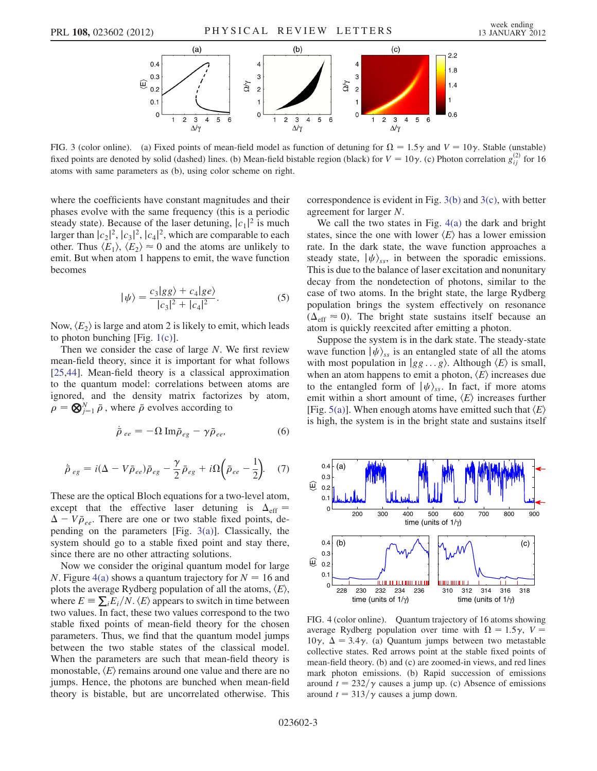

<span id="page-2-0"></span>FIG. 3 (color online). (a) Fixed points of mean-field model as function of detuning for  $\Omega = 1.5\gamma$  and  $V = 10\gamma$ . Stable (unstable) fixed points are denoted by solid (dashed) lines. (b) Mean-field bistable region (black) for  $V = 10\gamma$ . (c) Photon correlation  $g_{ij}^{(2)}$  for 16 atoms with same parameters as (b), using color scheme on right.

where the coefficients have constant magnitudes and their phases evolve with the same frequency (this is a periodic steady state). Because of the laser detuning,  $|c_1|^2$  is much<br>larger than  $|c_2|^2$   $|c_3|^2$   $|c_4|^2$  which are comparable to each larger than  $|c_2|^2$ ,  $|c_3|^2$ ,  $|c_4|^2$ , which are comparable to each other. Thus  $\langle F_1 \rangle$   $\langle F_2 \rangle \approx 0$  and the atoms are unlikely to other. Thus  $\langle E_1 \rangle$ ,  $\langle E_2 \rangle \approx 0$  and the atoms are unlikely to emit. But when atom 1 happens to emit, the wave function becomes

$$
|\psi\rangle = \frac{c_3|gg\rangle + c_4|ge\rangle}{|c_3|^2 + |c_4|^2}.
$$
 (5)

Now,  $\langle E_2 \rangle$  is large and atom 2 is likely to emit, which leads to photon bunching [Fig. [1\(c\)](#page-1-0)].

Then we consider the case of large N. We first review mean-field theory, since it is important for what follows [\[25](#page-4-2)[,44\]](#page-4-18). Mean-field theory is a classical approximation to the quantum model: correlations between atoms are ignored, and the density matrix factorizes by atom,  $\rho = \bigotimes_{j=1}^{N} \bar{\rho}$ , where  $\bar{\rho}$  evolves according to

$$
\dot{\bar{\rho}}_{ee} = -\Omega \,\mathrm{Im}\bar{\rho}_{eg} - \gamma \bar{\rho}_{ee},\tag{6}
$$

$$
\dot{\bar{\rho}}_{eg} = i(\Delta - V\bar{\rho}_{ee})\bar{\rho}_{eg} - \frac{\gamma}{2}\bar{\rho}_{eg} + i\Omega\left(\bar{\rho}_{ee} - \frac{1}{2}\right).
$$
 (7)

These are the optical Bloch equations for a two-level atom, except that the effective laser detuning is  $\Delta_{\text{eff}}$  =  $\Delta - V \bar{\rho}_{ee}$ . There are one or two stable fixed points, de-<br>pending on the parameters [Fig. 3(a)]. Classically, the pending on the parameters [Fig. [3\(a\)](#page-2-0)]. Classically, the system should go to a stable fixed point and stay there, since there are no other attracting solutions.

Now we consider the original quantum model for large N. Figure [4\(a\)](#page-2-1) shows a quantum trajectory for  $N = 16$  and plots the average Rydberg population of all the atoms,  $\langle E \rangle$ , where  $E = \sum_i E_i/N$ .  $\langle E \rangle$  appears to switch in time between<br>two values. In fact, these two values correspond to the two two values. In fact, these two values correspond to the two stable fixed points of mean-field theory for the chosen parameters. Thus, we find that the quantum model jumps between the two stable states of the classical model. When the parameters are such that mean-field theory is monostable,  $\langle E \rangle$  remains around one value and there are no jumps. Hence, the photons are bunched when mean-field theory is bistable, but are uncorrelated otherwise. This correspondence is evident in Fig. [3\(b\)](#page-2-0) and [3\(c\),](#page-2-0) with better agreement for larger N.

We call the two states in Fig. [4\(a\)](#page-2-1) the dark and bright states, since the one with lower  $\langle E \rangle$  has a lower emission rate. In the dark state, the wave function approaches a steady state,  $|\psi\rangle_{ss}$ , in between the sporadic emissions. This is due to the balance of laser excitation and nonunitary decay from the nondetection of photons, similar to the case of two atoms. In the bright state, the large Rydberg population brings the system effectively on resonance  $(\Delta_{\text{eff}} \approx 0)$ . The bright state sustains itself because an atom is quickly reexcited after emitting a photon.

Suppose the system is in the dark state. The steady-state wave function  $|\psi\rangle_{ss}$  is an entangled state of all the atoms with most population in  $|gg \dots g\rangle$ . Although  $\langle E \rangle$  is small, when an atom happens to emit a photon,  $\langle E \rangle$  increases due to the entangled form of  $|\psi\rangle_{ss}$ . In fact, if more atoms emit within a short amount of time,  $\langle E \rangle$  increases further [Fig. [5\(a\)](#page-3-11)]. When enough atoms have emitted such that  $\langle E \rangle$ is high, the system is in the bright state and sustains itself



<span id="page-2-1"></span>FIG. 4 (color online). Quantum trajectory of 16 atoms showing average Rydberg population over time with  $\Omega = 1.5\gamma$ ,  $V = 10\gamma$ ,  $\Lambda = 3.4\gamma$  (a) Quantum jumps between two metastable 10 $\gamma$ ,  $\Delta = 3.4\gamma$ . (a) Quantum jumps between two metastable collective states. Red arrows point at the stable fixed points of mean-field theory. (b) and (c) are zoomed-in views, and red lines mark photon emissions. (b) Rapid succession of emissions around  $t = 232/\gamma$  causes a jump up. (c) Absence of emissions around  $t = 313/\gamma$  causes a jump down.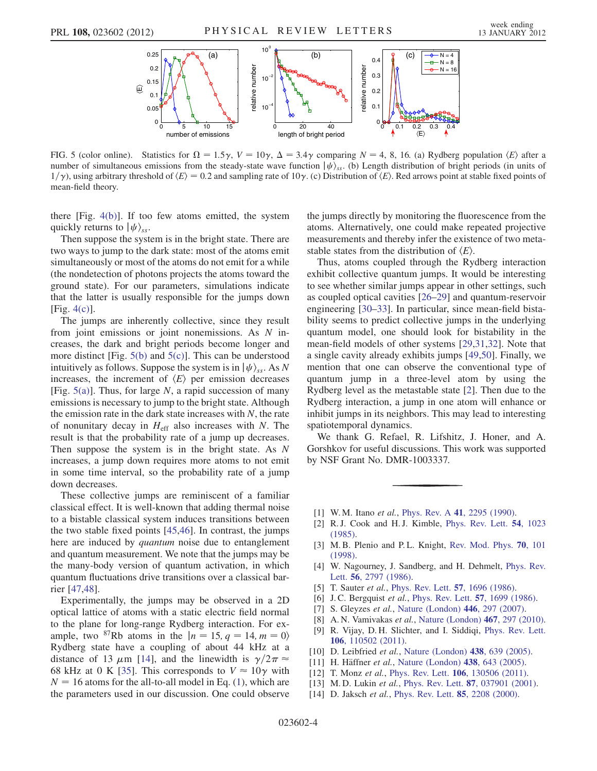

<span id="page-3-11"></span>FIG. 5 (color online). Statistics for  $\Omega = 1.5\gamma$ ,  $V = 10\gamma$ ,  $\Delta = 3.4\gamma$  comparing  $N = 4, 8, 16$ . (a) Rydberg population  $\langle E \rangle$  after a number of simultaneous emissions from the steady-state wave function  $|J/\rangle$  (b) Len number of simultaneous emissions from the steady-state wave function  $|\psi\rangle_{ss}$ . (b) Length distribution of bright periods (in units of  $1/\gamma$ ), using arbitrary threshold of  $\langle E \rangle = 0.2$  and sampling rate of  $10\gamma$ . (c) Distribution of  $\langle E \rangle$ . Red arrows point at stable fixed points of mean-field theory.

there  $[Fig. 4(b)]$  $[Fig. 4(b)]$  $[Fig. 4(b)]$ . If too few atoms emitted, the system quickly returns to  $|\psi\rangle_{ss}$ .

Then suppose the system is in the bright state. There are two ways to jump to the dark state: most of the atoms emit simultaneously or most of the atoms do not emit for a while (the nondetection of photons projects the atoms toward the ground state). For our parameters, simulations indicate that the latter is usually responsible for the jumps down [Fig. [4\(c\)\]](#page-2-1).

The jumps are inherently collective, since they result from joint emissions or joint nonemissions. As N increases, the dark and bright periods become longer and more distinct [Fig.  $5(b)$  and  $5(c)$ ]. This can be understood intuitively as follows. Suppose the system is in  $|\psi\rangle_{ss}$ . As N increases, the increment of  $\langle E \rangle$  per emission decreases [Fig.  $5(a)$ ]. Thus, for large N, a rapid succession of many emissions is necessary to jump to the bright state. Although the emission rate in the dark state increases with  $N$ , the rate of nonunitary decay in  $H_{\text{eff}}$  also increases with N. The result is that the probability rate of a jump up decreases. Then suppose the system is in the bright state. As N increases, a jump down requires more atoms to not emit in some time interval, so the probability rate of a jump down decreases.

These collective jumps are reminiscent of a familiar classical effect. It is well-known that adding thermal noise to a bistable classical system induces transitions between the two stable fixed points [\[45](#page-4-19)[,46\]](#page-4-20). In contrast, the jumps here are induced by *quantum* noise due to entanglement and quantum measurement. We note that the jumps may be the many-body version of quantum activation, in which quantum fluctuations drive transitions over a classical barrier [\[47,](#page-4-21)[48\]](#page-4-22).

Experimentally, the jumps may be observed in a 2D optical lattice of atoms with a static electric field normal to the plane for long-range Rydberg interaction. For example, two <sup>87</sup>Rb atoms in the  $|n = 15, q = 14, m = 0\rangle$ Rydberg state have a coupling of about 44 kHz at a distance of 13  $\mu$ m [\[14\]](#page-3-12), and the linewidth is  $\gamma/2\pi \approx$ 68 kHz at 0 K [\[35\]](#page-4-9). This corresponds to  $V \approx 10\gamma$  with  $N = 16$  atoms for the all-to-all model in Eq. [\(1\)](#page-0-0), which are the parameters used in our discussion. One could observe the jumps directly by monitoring the fluorescence from the atoms. Alternatively, one could make repeated projective measurements and thereby infer the existence of two metastable states from the distribution of  $\langle E \rangle$ .

Thus, atoms coupled through the Rydberg interaction exhibit collective quantum jumps. It would be interesting to see whether similar jumps appear in other settings, such as coupled optical cavities [\[26–](#page-4-3)[29](#page-4-4)] and quantum-reservoir engineering [\[30–](#page-4-5)[33](#page-4-6)]. In particular, since mean-field bistability seems to predict collective jumps in the underlying quantum model, one should look for bistability in the mean-field models of other systems [\[29](#page-4-4)[,31](#page-4-23)[,32\]](#page-4-24). Note that a single cavity already exhibits jumps [[49](#page-4-25),[50](#page-4-26)]. Finally, we mention that one can observe the conventional type of quantum jump in a three-level atom by using the Rydberg level as the metastable state [[2\]](#page-3-1). Then due to the Rydberg interaction, a jump in one atom will enhance or inhibit jumps in its neighbors. This may lead to interesting spatiotemporal dynamics.

We thank G. Refael, R. Lifshitz, J. Honer, and A. Gorshkov for useful discussions. This work was supported by NSF Grant No. DMR-1003337.

- <span id="page-3-1"></span><span id="page-3-0"></span>[1] W. M. Itano et al., Phys. Rev. A 41[, 2295 \(1990\).](http://dx.doi.org/10.1103/PhysRevA.41.2295)
- <span id="page-3-2"></span>[2] R. J. Cook and H. J. Kimble, [Phys. Rev. Lett.](http://dx.doi.org/10.1103/PhysRevLett.54.1023) 54, 1023 [\(1985\)](http://dx.doi.org/10.1103/PhysRevLett.54.1023).
- <span id="page-3-3"></span>[3] M. B. Plenio and P. L. Knight, [Rev. Mod. Phys.](http://dx.doi.org/10.1103/RevModPhys.70.101) **70**, 101 [\(1998\)](http://dx.doi.org/10.1103/RevModPhys.70.101).
- [4] W. Nagourney, J. Sandberg, and H. Dehmelt, [Phys. Rev.](http://dx.doi.org/10.1103/PhysRevLett.56.2797) Lett. 56[, 2797 \(1986\).](http://dx.doi.org/10.1103/PhysRevLett.56.2797)
- <span id="page-3-4"></span>[5] T. Sauter et al., [Phys. Rev. Lett.](http://dx.doi.org/10.1103/PhysRevLett.57.1696) 57, 1696 (1986).
- <span id="page-3-5"></span>[6] J. C. Bergquist et al., [Phys. Rev. Lett.](http://dx.doi.org/10.1103/PhysRevLett.57.1699) **57**, 1699 (1986).
- <span id="page-3-6"></span>[7] S. Gleyzes et al., [Nature \(London\)](http://dx.doi.org/10.1038/nature05589) 446, 297 (2007).
- <span id="page-3-7"></span>[8] A. N. Vamivakas et al., [Nature \(London\)](http://dx.doi.org/10.1038/nature09359) 467, 297 (2010).
- <span id="page-3-8"></span>[9] R. Vijay, D. H. Slichter, and I. Siddiqi, [Phys. Rev. Lett.](http://dx.doi.org/10.1103/PhysRevLett.106.110502) 106[, 110502 \(2011\)](http://dx.doi.org/10.1103/PhysRevLett.106.110502).
- [10] D. Leibfried et al., [Nature \(London\)](http://dx.doi.org/10.1038/nature04251) 438, 639 (2005).
- <span id="page-3-9"></span>[11] H. Häffner et al., [Nature \(London\)](http://dx.doi.org/10.1038/nature04279) 438, 643 (2005).
- <span id="page-3-10"></span>[12] T. Monz et al., Phys. Rev. Lett. **106**[, 130506 \(2011\)](http://dx.doi.org/10.1103/PhysRevLett.106.130506).
- <span id="page-3-12"></span>[13] M.D. Lukin et al., Phys. Rev. Lett. 87[, 037901 \(2001\)](http://dx.doi.org/10.1103/PhysRevLett.87.037901).
- [14] D. Jaksch et al., [Phys. Rev. Lett.](http://dx.doi.org/10.1103/PhysRevLett.85.2208) **85**, 2208 (2000).